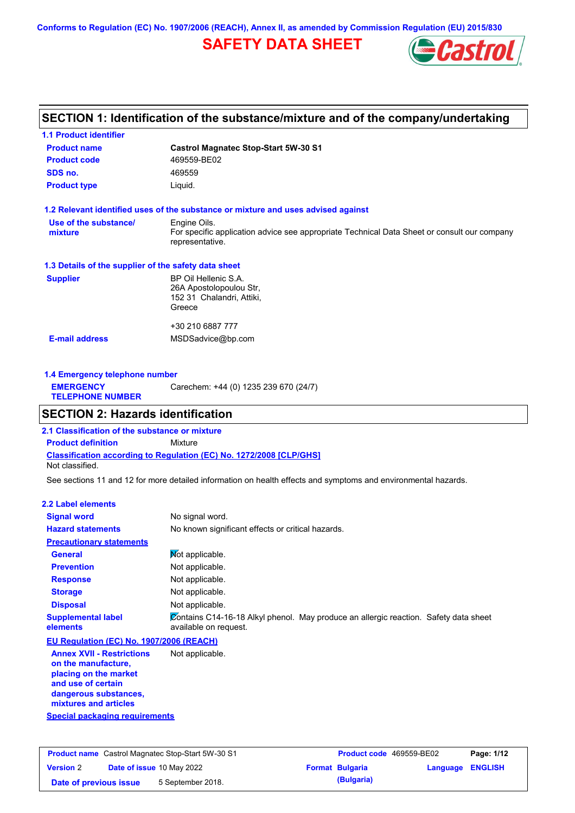**Conforms to Regulation (EC) No. 1907/2006 (REACH), Annex II, as amended by Commission Regulation (EU) 2015/830**

# **SAFETY DATA SHEET**



# **SECTION 1: Identification of the substance/mixture and of the company/undertaking**

| <b>1.1 Product identifier</b>                        |                                                                                                                |  |  |
|------------------------------------------------------|----------------------------------------------------------------------------------------------------------------|--|--|
| <b>Product name</b>                                  | <b>Castrol Magnatec Stop-Start 5W-30 S1</b>                                                                    |  |  |
| <b>Product code</b>                                  | 469559-BE02                                                                                                    |  |  |
| SDS no.                                              | 469559                                                                                                         |  |  |
| <b>Product type</b>                                  | Liquid.                                                                                                        |  |  |
|                                                      | 1.2 Relevant identified uses of the substance or mixture and uses advised against                              |  |  |
| Use of the substance/                                | Engine Oils.                                                                                                   |  |  |
| mixture                                              | For specific application advice see appropriate Technical Data Sheet or consult our company<br>representative. |  |  |
| 1.3 Details of the supplier of the safety data sheet |                                                                                                                |  |  |
| <b>Supplier</b>                                      | BP Oil Hellenic S.A.                                                                                           |  |  |
|                                                      | 26A Apostolopoulou Str.                                                                                        |  |  |
|                                                      | 152 31 Chalandri, Attiki,                                                                                      |  |  |
|                                                      | Greece                                                                                                         |  |  |
|                                                      |                                                                                                                |  |  |
|                                                      | +30 210 6887 777                                                                                               |  |  |

| Carechem: +44 (0) 1235 239 670 (24/7)<br><b>EMERGENCY</b><br><b>TELEPHONE NUMBER</b> | 1.4 Emergency telephone number |  |  |  |  |
|--------------------------------------------------------------------------------------|--------------------------------|--|--|--|--|
|                                                                                      |                                |  |  |  |  |

# **SECTION 2: Hazards identification**

**Classification according to Regulation (EC) No. 1272/2008 [CLP/GHS] 2.1 Classification of the substance or mixture Product definition** Mixture Not classified.

See sections 11 and 12 for more detailed information on health effects and symptoms and environmental hazards.

### **2.2 Label elements**

| <b>Signal word</b>                                                                                                                                       | No signal word.                                                                                               |
|----------------------------------------------------------------------------------------------------------------------------------------------------------|---------------------------------------------------------------------------------------------------------------|
| <b>Hazard statements</b>                                                                                                                                 | No known significant effects or critical hazards.                                                             |
| <b>Precautionary statements</b>                                                                                                                          |                                                                                                               |
| General                                                                                                                                                  | Mot applicable.                                                                                               |
| <b>Prevention</b>                                                                                                                                        | Not applicable.                                                                                               |
| <b>Response</b>                                                                                                                                          | Not applicable.                                                                                               |
| <b>Storage</b>                                                                                                                                           | Not applicable.                                                                                               |
| <b>Disposal</b>                                                                                                                                          | Not applicable.                                                                                               |
| <b>Supplemental label</b><br>elements                                                                                                                    | Contains C14-16-18 Alkyl phenol. May produce an allergic reaction. Safety data sheet<br>available on request. |
| EU Regulation (EC) No. 1907/2006 (REACH)                                                                                                                 |                                                                                                               |
| <b>Annex XVII - Restrictions</b><br>on the manufacture.<br>placing on the market<br>and use of certain<br>dangerous substances,<br>mixtures and articles | Not applicable.                                                                                               |

**Special packaging requirements**

| <b>Product name</b> Castrol Magnatec Stop-Start 5W-30 S1 |  |                                  | Product code 469559-BE02 |                        | Page: 1/12              |  |
|----------------------------------------------------------|--|----------------------------------|--------------------------|------------------------|-------------------------|--|
| <b>Version 2</b>                                         |  | <b>Date of issue 10 May 2022</b> |                          | <b>Format Bulgaria</b> | <b>Language ENGLISH</b> |  |
| Date of previous issue                                   |  | 5 September 2018.                |                          | (Bulgaria)             |                         |  |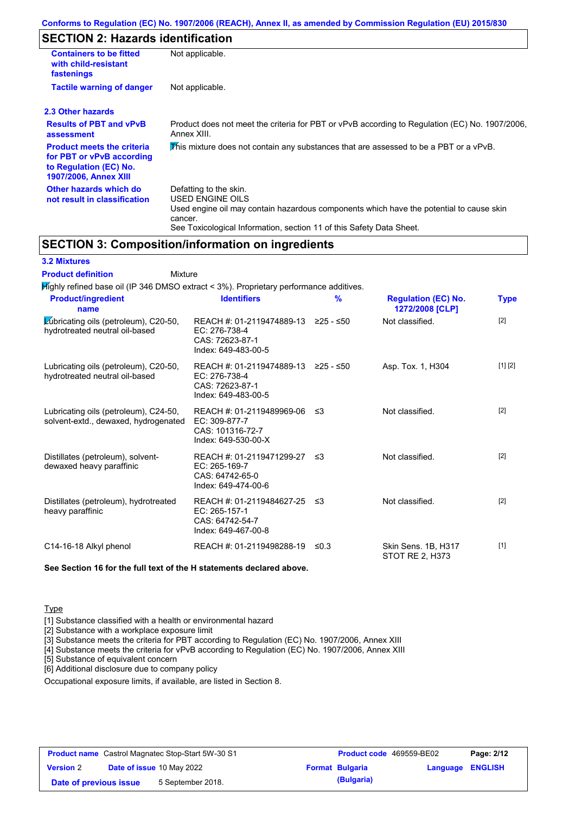# **SECTION 2: Hazards identification**

| <b>Containers to be fitted</b><br>with child-resistant<br>fastenings                                                     | Not applicable.                                                                                                                                                                                                          |  |
|--------------------------------------------------------------------------------------------------------------------------|--------------------------------------------------------------------------------------------------------------------------------------------------------------------------------------------------------------------------|--|
| <b>Tactile warning of danger</b><br>Not applicable.                                                                      |                                                                                                                                                                                                                          |  |
| 2.3 Other hazards                                                                                                        |                                                                                                                                                                                                                          |  |
| <b>Results of PBT and vPvB</b><br>assessment                                                                             | Product does not meet the criteria for PBT or vPvB according to Regulation (EC) No. 1907/2006,<br>Annex XIII.                                                                                                            |  |
| <b>Product meets the criteria</b><br>for PBT or vPvB according<br>to Regulation (EC) No.<br><b>1907/2006, Annex XIII</b> | This mixture does not contain any substances that are assessed to be a PBT or a vPvB.                                                                                                                                    |  |
| Other hazards which do<br>not result in classification                                                                   | Defatting to the skin.<br>USED ENGINE OILS<br>Used engine oil may contain hazardous components which have the potential to cause skin<br>cancer.<br>See Toxicological Information, section 11 of this Safety Data Sheet. |  |

**SECTION 3: Composition/information on ingredients**

| <b>3.2 Mixtures</b>                                                                    |                                                                                                |               |                                               |             |
|----------------------------------------------------------------------------------------|------------------------------------------------------------------------------------------------|---------------|-----------------------------------------------|-------------|
| <b>Product definition</b><br>Mixture                                                   |                                                                                                |               |                                               |             |
| Mighly refined base oil (IP 346 DMSO extract < 3%). Proprietary performance additives. |                                                                                                |               |                                               |             |
| <b>Product/ingredient</b><br>name                                                      | <b>Identifiers</b>                                                                             | $\frac{9}{6}$ | <b>Regulation (EC) No.</b><br>1272/2008 [CLP] | <b>Type</b> |
| Lubricating oils (petroleum), C20-50,<br>hydrotreated neutral oil-based                | REACH #: 01-2119474889-13 ≥25 - ≤50<br>EC: 276-738-4<br>CAS: 72623-87-1<br>Index: 649-483-00-5 |               | Not classified.                               | $[2]$       |
| Lubricating oils (petroleum), C20-50,<br>hydrotreated neutral oil-based                | REACH #: 01-2119474889-13 ≥25 - ≤50<br>EC: 276-738-4<br>CAS: 72623-87-1<br>Index: 649-483-00-5 |               | Asp. Tox. 1, H304                             | [1] [2]     |
| Lubricating oils (petroleum), C24-50,<br>solvent-extd., dewaxed, hydrogenated          | REACH #: 01-2119489969-06<br>EC: 309-877-7<br>CAS: 101316-72-7<br>Index: 649-530-00-X          | ו≥ ≤          | Not classified.                               | $[2]$       |
| Distillates (petroleum), solvent-<br>dewaxed heavy paraffinic                          | REACH #: 01-2119471299-27<br>EC: 265-169-7<br>CAS: 64742-65-0<br>Index: 649-474-00-6           | ึ ≤3          | Not classified.                               | $[2]$       |
| Distillates (petroleum), hydrotreated<br>heavy paraffinic                              | REACH #: 01-2119484627-25<br>EC: 265-157-1<br>CAS: 64742-54-7<br>Index: 649-467-00-8           | ו≥ ≤          | Not classified.                               | $[2]$       |
| C14-16-18 Alkyl phenol                                                                 | REACH #: 01-2119498288-19                                                                      | ≤0.3          | Skin Sens. 1B, H317<br>STOT RE 2, H373        | $[1]$       |

### **See Section 16 for the full text of the H statements declared above.**

## **Type**

[1] Substance classified with a health or environmental hazard

[2] Substance with a workplace exposure limit

[3] Substance meets the criteria for PBT according to Regulation (EC) No. 1907/2006, Annex XIII

[4] Substance meets the criteria for vPvB according to Regulation (EC) No. 1907/2006, Annex XIII

[5] Substance of equivalent concern

[6] Additional disclosure due to company policy

Occupational exposure limits, if available, are listed in Section 8.

| <b>Product name</b> Castrol Magnatec Stop-Start 5W-30 S1 |  |                                  | <b>Product code</b> 469559-BE02 | Page: 2/12             |  |                         |
|----------------------------------------------------------|--|----------------------------------|---------------------------------|------------------------|--|-------------------------|
| <b>Version 2</b>                                         |  | <b>Date of issue 10 May 2022</b> |                                 | <b>Format Bulgaria</b> |  | <b>Language ENGLISH</b> |
| Date of previous issue                                   |  | 5 September 2018.                |                                 | (Bulgaria)             |  |                         |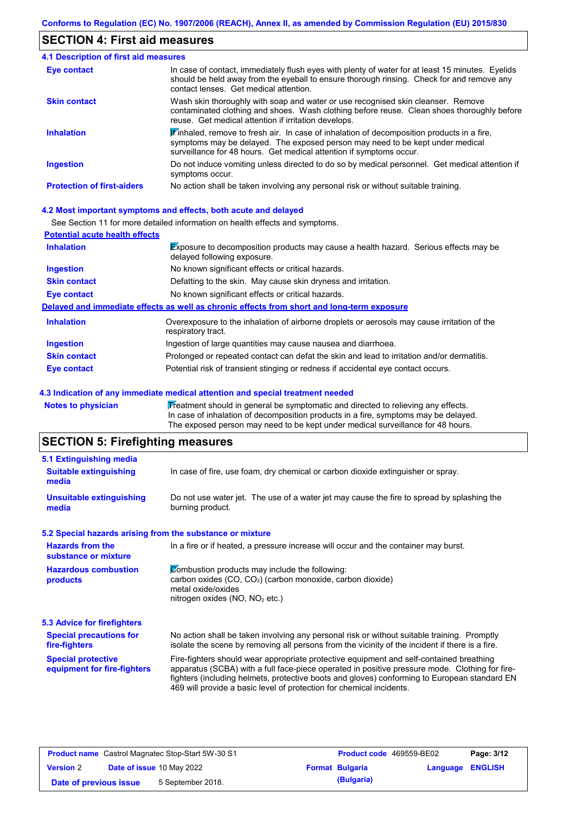# **SECTION 4: First aid measures**

| <b>4.1 Description of first aid measures</b> |                                                                                                                                                                                                                                                                         |
|----------------------------------------------|-------------------------------------------------------------------------------------------------------------------------------------------------------------------------------------------------------------------------------------------------------------------------|
| <b>Eye contact</b>                           | In case of contact, immediately flush eyes with plenty of water for at least 15 minutes. Eyelids<br>should be held away from the eyeball to ensure thorough rinsing. Check for and remove any<br>contact lenses. Get medical attention.                                 |
| <b>Skin contact</b>                          | Wash skin thoroughly with soap and water or use recognised skin cleanser. Remove<br>contaminated clothing and shoes. Wash clothing before reuse. Clean shoes thoroughly before<br>reuse. Get medical attention if irritation develops.                                  |
| <b>Inhalation</b>                            | $\mathbf{\mathscr{F}}$ inhaled, remove to fresh air. In case of inhalation of decomposition products in a fire,<br>symptoms may be delayed. The exposed person may need to be kept under medical<br>surveillance for 48 hours. Get medical attention if symptoms occur. |
| <b>Ingestion</b>                             | Do not induce vomiting unless directed to do so by medical personnel. Get medical attention if<br>symptoms occur.                                                                                                                                                       |
| <b>Protection of first-aiders</b>            | No action shall be taken involving any personal risk or without suitable training.                                                                                                                                                                                      |

### **4.2 Most important symptoms and effects, both acute and delayed**

See Section 11 for more detailed information on health effects and symptoms.

| <b>Potential acute health effects</b> |                                                                                                                            |
|---------------------------------------|----------------------------------------------------------------------------------------------------------------------------|
| <b>Inhalation</b>                     | <b>Exposure to decomposition products may cause a health hazard. Serious effects may be</b><br>delayed following exposure. |
| <b>Ingestion</b>                      | No known significant effects or critical hazards.                                                                          |
| <b>Skin contact</b>                   | Defatting to the skin. May cause skin dryness and irritation.                                                              |
| Eye contact                           | No known significant effects or critical hazards.                                                                          |
|                                       | Delayed and immediate effects as well as chronic effects from short and long-term exposure                                 |
| <b>Inhalation</b>                     | Overexposure to the inhalation of airborne droplets or aerosols may cause irritation of the<br>respiratory tract.          |
| <b>Ingestion</b>                      | Ingestion of large quantities may cause nausea and diarrhoea.                                                              |
| <b>Skin contact</b>                   | Prolonged or repeated contact can defat the skin and lead to irritation and/or dermatitis.                                 |
| Eye contact                           | Potential risk of transient stinging or redness if accidental eye contact occurs.                                          |

#### **4.3 Indication of any immediate medical attention and special treatment needed**

Notes to physician **Treatment should in general be symptomatic and directed to relieving any effects.** In case of inhalation of decomposition products in a fire, symptoms may be delayed. The exposed person may need to be kept under medical surveillance for 48 hours.

# **SECTION 5: Firefighting measures**

| 5.1 Extinguishing media                                                                                                                                                                                                                 |                                                                                                                                                                                                                                                                                                                                                                   |  |  |
|-----------------------------------------------------------------------------------------------------------------------------------------------------------------------------------------------------------------------------------------|-------------------------------------------------------------------------------------------------------------------------------------------------------------------------------------------------------------------------------------------------------------------------------------------------------------------------------------------------------------------|--|--|
| <b>Suitable extinguishing</b><br>media                                                                                                                                                                                                  | In case of fire, use foam, dry chemical or carbon dioxide extinguisher or spray.                                                                                                                                                                                                                                                                                  |  |  |
| <b>Unsuitable extinguishing</b><br>media                                                                                                                                                                                                | Do not use water jet. The use of a water jet may cause the fire to spread by splashing the<br>burning product.                                                                                                                                                                                                                                                    |  |  |
| 5.2 Special hazards arising from the substance or mixture                                                                                                                                                                               |                                                                                                                                                                                                                                                                                                                                                                   |  |  |
| <b>Hazards from the</b><br>substance or mixture                                                                                                                                                                                         | In a fire or if heated, a pressure increase will occur and the container may burst.                                                                                                                                                                                                                                                                               |  |  |
| Combustion products may include the following:<br><b>Hazardous combustion</b><br>carbon oxides (CO, CO <sub>2</sub> ) (carbon monoxide, carbon dioxide)<br>products<br>metal oxide/oxides<br>nitrogen oxides (NO, NO <sub>2</sub> etc.) |                                                                                                                                                                                                                                                                                                                                                                   |  |  |
| 5.3 Advice for firefighters                                                                                                                                                                                                             |                                                                                                                                                                                                                                                                                                                                                                   |  |  |
| <b>Special precautions for</b><br>fire-fighters                                                                                                                                                                                         | No action shall be taken involving any personal risk or without suitable training. Promptly<br>isolate the scene by removing all persons from the vicinity of the incident if there is a fire.                                                                                                                                                                    |  |  |
| <b>Special protective</b><br>equipment for fire-fighters                                                                                                                                                                                | Fire-fighters should wear appropriate protective equipment and self-contained breathing<br>apparatus (SCBA) with a full face-piece operated in positive pressure mode. Clothing for fire-<br>fighters (including helmets, protective boots and gloves) conforming to European standard EN<br>469 will provide a basic level of protection for chemical incidents. |  |  |

| <b>Product name</b> Castrol Magnatec Stop-Start 5W-30 S1 |  |                                  | <b>Product code</b> 469559-BE02 |                        | Page: 3/12              |  |
|----------------------------------------------------------|--|----------------------------------|---------------------------------|------------------------|-------------------------|--|
| <b>Version 2</b>                                         |  | <b>Date of issue 10 May 2022</b> |                                 | <b>Format Bulgaria</b> | <b>Language ENGLISH</b> |  |
| Date of previous issue                                   |  | 5 September 2018.                |                                 | (Bulgaria)             |                         |  |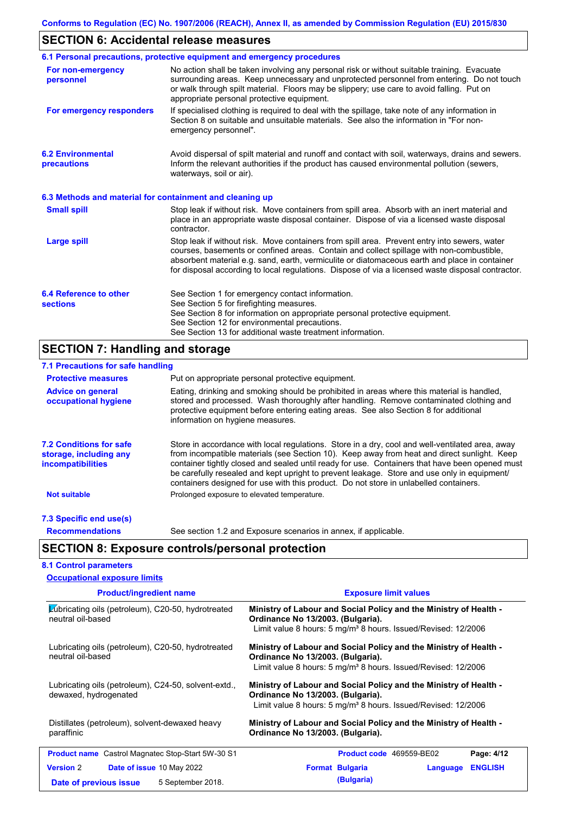# **SECTION 6: Accidental release measures**

|                                                          | 6.1 Personal precautions, protective equipment and emergency procedures                                                                                                                                                                                                                                                                                                                        |
|----------------------------------------------------------|------------------------------------------------------------------------------------------------------------------------------------------------------------------------------------------------------------------------------------------------------------------------------------------------------------------------------------------------------------------------------------------------|
| For non-emergency<br>personnel                           | No action shall be taken involving any personal risk or without suitable training. Evacuate<br>surrounding areas. Keep unnecessary and unprotected personnel from entering. Do not touch<br>or walk through spilt material. Floors may be slippery; use care to avoid falling. Put on<br>appropriate personal protective equipment.                                                            |
| For emergency responders                                 | If specialised clothing is required to deal with the spillage, take note of any information in<br>Section 8 on suitable and unsuitable materials. See also the information in "For non-<br>emergency personnel".                                                                                                                                                                               |
| <b>6.2 Environmental</b><br>precautions                  | Avoid dispersal of spilt material and runoff and contact with soil, waterways, drains and sewers.<br>Inform the relevant authorities if the product has caused environmental pollution (sewers,<br>waterways, soil or air).                                                                                                                                                                    |
| 6.3 Methods and material for containment and cleaning up |                                                                                                                                                                                                                                                                                                                                                                                                |
| <b>Small spill</b>                                       | Stop leak if without risk. Move containers from spill area. Absorb with an inert material and<br>place in an appropriate waste disposal container. Dispose of via a licensed waste disposal<br>contractor.                                                                                                                                                                                     |
| <b>Large spill</b>                                       | Stop leak if without risk. Move containers from spill area. Prevent entry into sewers, water<br>courses, basements or confined areas. Contain and collect spillage with non-combustible,<br>absorbent material e.g. sand, earth, vermiculite or diatomaceous earth and place in container<br>for disposal according to local regulations. Dispose of via a licensed waste disposal contractor. |
| 6.4 Reference to other<br><b>sections</b>                | See Section 1 for emergency contact information.<br>See Section 5 for firefighting measures.<br>See Section 8 for information on appropriate personal protective equipment.<br>See Section 12 for environmental precautions.<br>See Section 13 for additional waste treatment information.                                                                                                     |

# **SECTION 7: Handling and storage**

**Occupational exposure limits**

| 7.1 Precautions for safe handling                                                    |                                                                                                                                                                                                                                                                                                                                                                                                                                                                                          |
|--------------------------------------------------------------------------------------|------------------------------------------------------------------------------------------------------------------------------------------------------------------------------------------------------------------------------------------------------------------------------------------------------------------------------------------------------------------------------------------------------------------------------------------------------------------------------------------|
| <b>Protective measures</b>                                                           | Put on appropriate personal protective equipment.                                                                                                                                                                                                                                                                                                                                                                                                                                        |
| <b>Advice on general</b><br>occupational hygiene                                     | Eating, drinking and smoking should be prohibited in areas where this material is handled,<br>stored and processed. Wash thoroughly after handling. Remove contaminated clothing and<br>protective equipment before entering eating areas. See also Section 8 for additional<br>information on hygiene measures.                                                                                                                                                                         |
| <b>7.2 Conditions for safe</b><br>storage, including any<br><i>incompatibilities</i> | Store in accordance with local regulations. Store in a dry, cool and well-ventilated area, away<br>from incompatible materials (see Section 10). Keep away from heat and direct sunlight. Keep<br>container tightly closed and sealed until ready for use. Containers that have been opened must<br>be carefully resealed and kept upright to prevent leakage. Store and use only in equipment/<br>containers designed for use with this product. Do not store in unlabelled containers. |
| <b>Not suitable</b>                                                                  | Prolonged exposure to elevated temperature.                                                                                                                                                                                                                                                                                                                                                                                                                                              |
| 7.3 Specific end use(s)                                                              |                                                                                                                                                                                                                                                                                                                                                                                                                                                                                          |
| <b>Recommendations</b>                                                               | See section 1.2 and Exposure scenarios in annex, if applicable.                                                                                                                                                                                                                                                                                                                                                                                                                          |
|                                                                                      | <b>SECTION 8: Exposure controls/personal protection</b>                                                                                                                                                                                                                                                                                                                                                                                                                                  |
| <b>8.1 Control parameters</b>                                                        |                                                                                                                                                                                                                                                                                                                                                                                                                                                                                          |

| <b>Product/ingredient name</b>                                                | <b>Exposure limit values</b>                                                                                                                                                         |
|-------------------------------------------------------------------------------|--------------------------------------------------------------------------------------------------------------------------------------------------------------------------------------|
| Lubricating oils (petroleum), C20-50, hydrotreated<br>neutral oil-based       | Ministry of Labour and Social Policy and the Ministry of Health -<br>Ordinance No 13/2003. (Bulgaria).<br>Limit value 8 hours: $5 \text{ mg/m}^3$ 8 hours. Issued/Revised: $12/2006$ |
| Lubricating oils (petroleum), C20-50, hydrotreated<br>neutral oil-based       | Ministry of Labour and Social Policy and the Ministry of Health -<br>Ordinance No 13/2003. (Bulgaria).<br>Limit value 8 hours: $5 \text{ mg/m}^3$ 8 hours. Issued/Revised: $12/2006$ |
| Lubricating oils (petroleum), C24-50, solvent-extd.,<br>dewaxed, hydrogenated | Ministry of Labour and Social Policy and the Ministry of Health -<br>Ordinance No 13/2003. (Bulgaria).<br>Limit value 8 hours: $5 \text{ mg/m}^3$ 8 hours. Issued/Revised: $12/2006$ |
| Distillates (petroleum), solvent-dewaxed heavy<br>paraffinic                  | Ministry of Labour and Social Policy and the Ministry of Health -<br>Ordinance No 13/2003. (Bulgaria).                                                                               |
| <b>Product name</b> Castrol Magnatec Stop-Start 5W-30 S1                      | <b>Product code</b> 469559-BE02<br>Page: 4/12                                                                                                                                        |
| <b>Version 2</b><br>Date of issue 10 May 2022                                 | <b>Format Bulgaria</b><br><b>ENGLISH</b><br>Language                                                                                                                                 |
| 5 September 2018.<br>Date of previous issue                                   | (Bulgaria)                                                                                                                                                                           |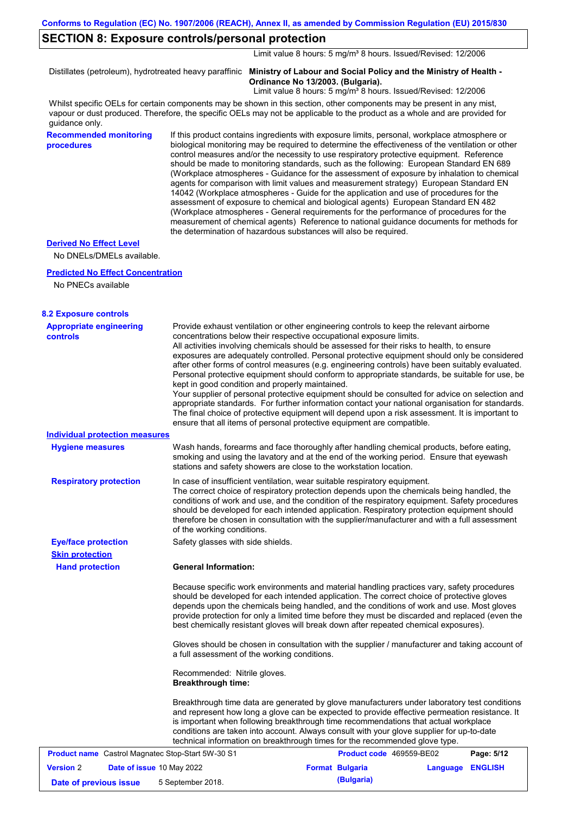## **SECTION 8: Exposure controls/personal protection**

Limit value 8 hours: 5 mg/m<sup>3</sup> 8 hours. Issued/Revised: 12/2006

Distillates (petroleum), hydrotreated heavy paraffinic **Ministry of Labour and Social Policy and the Ministry of Health - Ordinance No 13/2003. (Bulgaria).**

Limit value 8 hours: 5 mg/m<sup>3</sup> 8 hours. Issued/Revised: 12/2006

Whilst specific OELs for certain components may be shown in this section, other components may be present in any mist, vapour or dust produced. Therefore, the specific OELs may not be applicable to the product as a whole and are provided for guidance only.

**Recommended monitoring procedures**

If this product contains ingredients with exposure limits, personal, workplace atmosphere or biological monitoring may be required to determine the effectiveness of the ventilation or other control measures and/or the necessity to use respiratory protective equipment. Reference should be made to monitoring standards, such as the following: European Standard EN 689 (Workplace atmospheres - Guidance for the assessment of exposure by inhalation to chemical agents for comparison with limit values and measurement strategy) European Standard EN 14042 (Workplace atmospheres - Guide for the application and use of procedures for the assessment of exposure to chemical and biological agents) European Standard EN 482 (Workplace atmospheres - General requirements for the performance of procedures for the measurement of chemical agents) Reference to national guidance documents for methods for the determination of hazardous substances will also be required.

#### **Derived No Effect Level**

No DNELs/DMELs available.

#### **Predicted No Effect Concentration**

No PNECs available

**Hand protection**

| <b>8.2 Exposure controls</b>               |                                                                                                                                                                                                                                                                                                                                                                                                                                                                                                                                                                                                                                                                                                                                                                                                                                                                                                                                                                                                         |
|--------------------------------------------|---------------------------------------------------------------------------------------------------------------------------------------------------------------------------------------------------------------------------------------------------------------------------------------------------------------------------------------------------------------------------------------------------------------------------------------------------------------------------------------------------------------------------------------------------------------------------------------------------------------------------------------------------------------------------------------------------------------------------------------------------------------------------------------------------------------------------------------------------------------------------------------------------------------------------------------------------------------------------------------------------------|
| <b>Appropriate engineering</b><br>controls | Provide exhaust ventilation or other engineering controls to keep the relevant airborne<br>concentrations below their respective occupational exposure limits.<br>All activities involving chemicals should be assessed for their risks to health, to ensure<br>exposures are adequately controlled. Personal protective equipment should only be considered<br>after other forms of control measures (e.g. engineering controls) have been suitably evaluated.<br>Personal protective equipment should conform to appropriate standards, be suitable for use, be<br>kept in good condition and properly maintained.<br>Your supplier of personal protective equipment should be consulted for advice on selection and<br>appropriate standards. For further information contact your national organisation for standards.<br>The final choice of protective equipment will depend upon a risk assessment. It is important to<br>ensure that all items of personal protective equipment are compatible. |
| <b>Individual protection measures</b>      |                                                                                                                                                                                                                                                                                                                                                                                                                                                                                                                                                                                                                                                                                                                                                                                                                                                                                                                                                                                                         |

| <b>Hygiene measures</b>       | Wash hands, forearms and face thoroughly after handling chemical products, before eating,<br>smoking and using the lavatory and at the end of the working period. Ensure that eyewash<br>stations and safety showers are close to the workstation location.                                                                                                                                                                                                                                           |
|-------------------------------|-------------------------------------------------------------------------------------------------------------------------------------------------------------------------------------------------------------------------------------------------------------------------------------------------------------------------------------------------------------------------------------------------------------------------------------------------------------------------------------------------------|
| <b>Respiratory protection</b> | In case of insufficient ventilation, wear suitable respiratory equipment.<br>The correct choice of respiratory protection depends upon the chemicals being handled, the<br>conditions of work and use, and the condition of the respiratory equipment. Safety procedures<br>should be developed for each intended application. Respiratory protection equipment should<br>therefore be chosen in consultation with the supplier/manufacturer and with a full assessment<br>of the working conditions. |

**Eye/face protection** Safety glasses with side shields. **Skin protection**

**General Information:**

Because specific work environments and material handling practices vary, safety procedures should be developed for each intended application. The correct choice of protective gloves depends upon the chemicals being handled, and the conditions of work and use. Most gloves provide protection for only a limited time before they must be discarded and replaced (even the best chemically resistant gloves will break down after repeated chemical exposures).

Gloves should be chosen in consultation with the supplier / manufacturer and taking account of a full assessment of the working conditions.

Recommended: Nitrile gloves. **Breakthrough time:**

Breakthrough time data are generated by glove manufacturers under laboratory test conditions and represent how long a glove can be expected to provide effective permeation resistance. It is important when following breakthrough time recommendations that actual workplace conditions are taken into account. Always consult with your glove supplier for up-to-date technical information on breakthrough times for the recommended glove type.

|                        | <b>Product name</b> Castrol Magnatec Stop-Start 5W-30 S1 | <b>Product code</b> 469559-BE02 |                         | Page: 5/12 |
|------------------------|----------------------------------------------------------|---------------------------------|-------------------------|------------|
| <b>Version</b> 2       | <b>Date of issue 10 May 2022</b>                         | <b>Format Bulgaria</b>          | <b>Language ENGLISH</b> |            |
| Date of previous issue | 5 September 2018.                                        | (Bulgaria)                      |                         |            |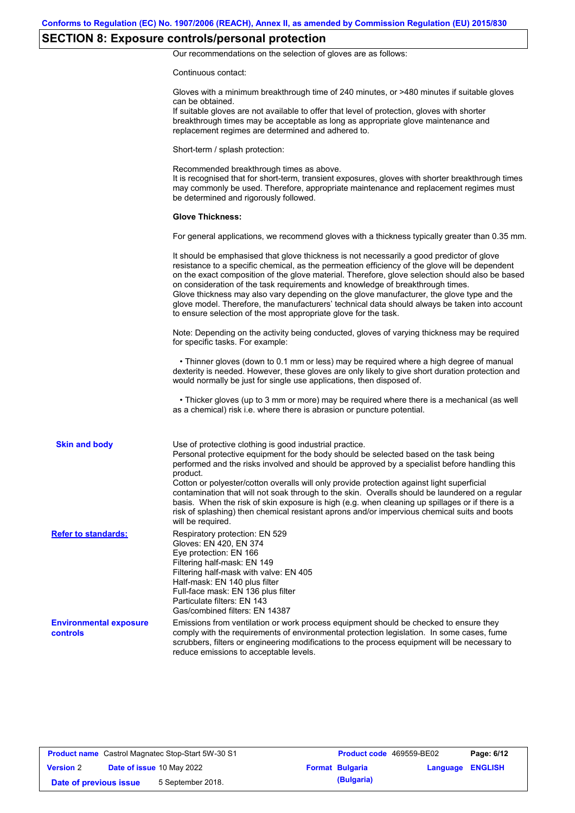# **SECTION 8: Exposure controls/personal protection**

Our recommendations on the selection of gloves are as follows:

Continuous contact:

|                                                  | Gloves with a minimum breakthrough time of 240 minutes, or >480 minutes if suitable gloves<br>can be obtained.<br>If suitable gloves are not available to offer that level of protection, gloves with shorter<br>breakthrough times may be acceptable as long as appropriate glove maintenance and<br>replacement regimes are determined and adhered to.                                                                                                                                                                                                                                                                                                                              |
|--------------------------------------------------|---------------------------------------------------------------------------------------------------------------------------------------------------------------------------------------------------------------------------------------------------------------------------------------------------------------------------------------------------------------------------------------------------------------------------------------------------------------------------------------------------------------------------------------------------------------------------------------------------------------------------------------------------------------------------------------|
|                                                  | Short-term / splash protection:                                                                                                                                                                                                                                                                                                                                                                                                                                                                                                                                                                                                                                                       |
|                                                  | Recommended breakthrough times as above.<br>It is recognised that for short-term, transient exposures, gloves with shorter breakthrough times<br>may commonly be used. Therefore, appropriate maintenance and replacement regimes must<br>be determined and rigorously followed.                                                                                                                                                                                                                                                                                                                                                                                                      |
|                                                  | <b>Glove Thickness:</b>                                                                                                                                                                                                                                                                                                                                                                                                                                                                                                                                                                                                                                                               |
|                                                  | For general applications, we recommend gloves with a thickness typically greater than 0.35 mm.                                                                                                                                                                                                                                                                                                                                                                                                                                                                                                                                                                                        |
|                                                  | It should be emphasised that glove thickness is not necessarily a good predictor of glove<br>resistance to a specific chemical, as the permeation efficiency of the glove will be dependent<br>on the exact composition of the glove material. Therefore, glove selection should also be based<br>on consideration of the task requirements and knowledge of breakthrough times.<br>Glove thickness may also vary depending on the glove manufacturer, the glove type and the<br>glove model. Therefore, the manufacturers' technical data should always be taken into account<br>to ensure selection of the most appropriate glove for the task.                                     |
|                                                  | Note: Depending on the activity being conducted, gloves of varying thickness may be required<br>for specific tasks. For example:                                                                                                                                                                                                                                                                                                                                                                                                                                                                                                                                                      |
|                                                  | • Thinner gloves (down to 0.1 mm or less) may be required where a high degree of manual<br>dexterity is needed. However, these gloves are only likely to give short duration protection and<br>would normally be just for single use applications, then disposed of.                                                                                                                                                                                                                                                                                                                                                                                                                  |
|                                                  | • Thicker gloves (up to 3 mm or more) may be required where there is a mechanical (as well<br>as a chemical) risk i.e. where there is abrasion or puncture potential.                                                                                                                                                                                                                                                                                                                                                                                                                                                                                                                 |
| <b>Skin and body</b>                             | Use of protective clothing is good industrial practice.<br>Personal protective equipment for the body should be selected based on the task being<br>performed and the risks involved and should be approved by a specialist before handling this<br>product.<br>Cotton or polyester/cotton overalls will only provide protection against light superficial<br>contamination that will not soak through to the skin. Overalls should be laundered on a regular<br>basis. When the risk of skin exposure is high (e.g. when cleaning up spillages or if there is a<br>risk of splashing) then chemical resistant aprons and/or impervious chemical suits and boots<br>will be required. |
| <b>Refer to standards:</b>                       | Respiratory protection: EN 529<br>Gloves: EN 420, EN 374<br>Eye protection: EN 166<br>Filtering half-mask: EN 149<br>Filtering half-mask with valve: EN 405<br>Half-mask: EN 140 plus filter<br>Full-face mask: EN 136 plus filter<br>Particulate filters: EN 143<br>Gas/combined filters: EN 14387                                                                                                                                                                                                                                                                                                                                                                                   |
| <b>Environmental exposure</b><br><b>controls</b> | Emissions from ventilation or work process equipment should be checked to ensure they<br>comply with the requirements of environmental protection legislation. In some cases, fume<br>scrubbers, filters or engineering modifications to the process equipment will be necessary to<br>reduce emissions to acceptable levels.                                                                                                                                                                                                                                                                                                                                                         |

|                        |                                  | <b>Product name</b> Castrol Magnatec Stop-Start 5W-30 S1 | Product code 469559-BE02 |                         | Page: 6/12 |
|------------------------|----------------------------------|----------------------------------------------------------|--------------------------|-------------------------|------------|
| <b>Version 2</b>       | <b>Date of issue 10 May 2022</b> |                                                          | <b>Format Bulgaria</b>   | <b>Language ENGLISH</b> |            |
| Date of previous issue |                                  | 5 September 2018.                                        | (Bulgaria)               |                         |            |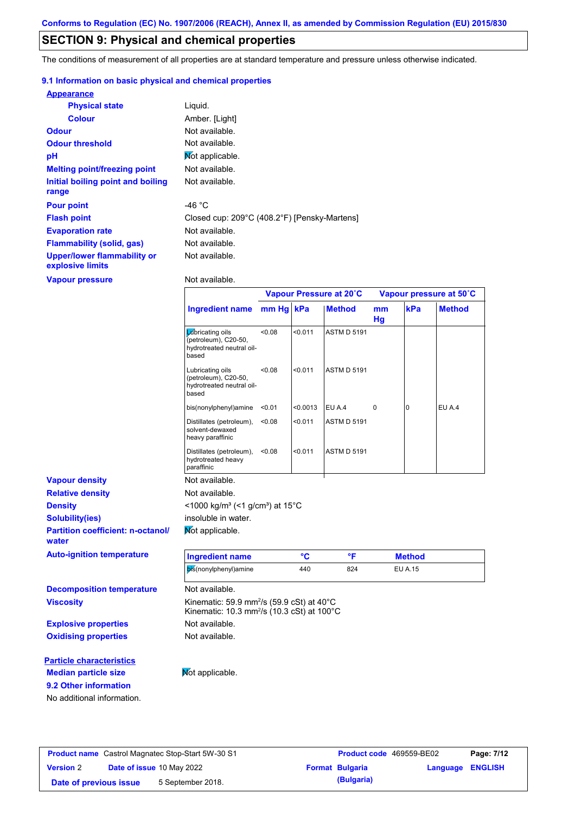# **SECTION 9: Physical and chemical properties**

The conditions of measurement of all properties are at standard temperature and pressure unless otherwise indicated.

### **9.1 Information on basic physical and chemical properties**

| <b>Appearance</b>                               |                                              |
|-------------------------------------------------|----------------------------------------------|
| <b>Physical state</b>                           | Liquid.                                      |
| <b>Colour</b>                                   | Amber. [Light]                               |
| <b>Odour</b>                                    | Not available.                               |
| <b>Odour threshold</b>                          | Not available.                               |
| pH                                              | Mot applicable.                              |
| <b>Melting point/freezing point</b>             | Not available.                               |
| Initial boiling point and boiling<br>range      | Not available.                               |
| <b>Pour point</b>                               | -46 $^{\circ}$ C                             |
| <b>Flash point</b>                              | Closed cup: 209°C (408.2°F) [Pensky-Martens] |
| <b>Evaporation rate</b>                         | Not available.                               |
| <b>Flammability (solid, gas)</b>                | Not available.                               |
| Upper/lower flammability or<br>explosive limits | Not available.                               |

**Vapour pressure**

**9.2 Other information**

No additional information.

Not available.

|                                                   |                                                                                                                                      |           |          | Vapour Pressure at 20°C |          |                | Vapour pressure at 50°C<br>kPa<br><b>Method</b><br>EU A.4<br>$\overline{0}$ |  |
|---------------------------------------------------|--------------------------------------------------------------------------------------------------------------------------------------|-----------|----------|-------------------------|----------|----------------|-----------------------------------------------------------------------------|--|
|                                                   | <b>Ingredient name</b>                                                                                                               | mm Hg kPa |          | <b>Method</b>           | mm<br>Hg |                |                                                                             |  |
|                                                   | <b>L</b> úbricating oils<br>(petroleum), C20-50,<br>hydrotreated neutral oil-<br>based                                               | < 0.08    | < 0.011  | <b>ASTM D 5191</b>      |          |                |                                                                             |  |
|                                                   | Lubricating oils<br>(petroleum), C20-50,<br>hydrotreated neutral oil-<br>based                                                       | <0.08     | < 0.011  | <b>ASTM D 5191</b>      |          |                |                                                                             |  |
|                                                   | bis(nonylphenyl)amine                                                                                                                | < 0.01    | < 0.0013 | EU A.4                  | 0        |                |                                                                             |  |
|                                                   | Distillates (petroleum),<br>solvent-dewaxed<br>heavy paraffinic                                                                      | < 0.08    | < 0.011  | <b>ASTM D 5191</b>      |          |                |                                                                             |  |
|                                                   | Distillates (petroleum),<br>hydrotreated heavy<br>paraffinic                                                                         | <0.08     | < 0.011  | <b>ASTM D 5191</b>      |          |                |                                                                             |  |
| <b>Vapour density</b>                             | Not available.                                                                                                                       |           |          |                         |          |                |                                                                             |  |
| <b>Relative density</b>                           | Not available.                                                                                                                       |           |          |                         |          |                |                                                                             |  |
| <b>Density</b>                                    | <1000 kg/m <sup>3</sup> (<1 g/cm <sup>3</sup> ) at 15 <sup>°</sup> C                                                                 |           |          |                         |          |                |                                                                             |  |
| <b>Solubility(ies)</b>                            | insoluble in water.                                                                                                                  |           |          |                         |          |                |                                                                             |  |
| <b>Partition coefficient: n-octanol/</b><br>water | Not applicable.                                                                                                                      |           |          |                         |          |                |                                                                             |  |
| <b>Auto-ignition temperature</b>                  | <b>Ingredient name</b>                                                                                                               |           | °C       | °F                      |          | <b>Method</b>  |                                                                             |  |
|                                                   | bis(nonylphenyl)amine                                                                                                                |           | 440      | 824                     |          | <b>EU A.15</b> |                                                                             |  |
| <b>Decomposition temperature</b>                  | Not available.                                                                                                                       |           |          |                         |          |                |                                                                             |  |
| <b>Viscosity</b>                                  | Kinematic: 59.9 mm <sup>2</sup> /s (59.9 cSt) at $40^{\circ}$ C<br>Kinematic: 10.3 mm <sup>2</sup> /s (10.3 cSt) at 100 $^{\circ}$ C |           |          |                         |          |                |                                                                             |  |
| <b>Explosive properties</b>                       | Not available.                                                                                                                       |           |          |                         |          |                |                                                                             |  |
| <b>Oxidising properties</b>                       | Not available.                                                                                                                       |           |          |                         |          |                |                                                                             |  |
| <b>Particle characteristics</b>                   |                                                                                                                                      |           |          |                         |          |                |                                                                             |  |
| <b>Median particle size</b>                       | Not applicable.                                                                                                                      |           |          |                         |          |                |                                                                             |  |

|                        | <b>Product name</b> Castrol Magnatec Stop-Start 5W-30 S1 | <b>Product code</b> 469559-BE02 |          | Page: 7/12     |
|------------------------|----------------------------------------------------------|---------------------------------|----------|----------------|
| <b>Version 2</b>       | <b>Date of issue 10 May 2022</b>                         | <b>Format Bulgaria</b>          | Language | <b>ENGLISH</b> |
| Date of previous issue | 5 September 2018.                                        | (Bulgaria)                      |          |                |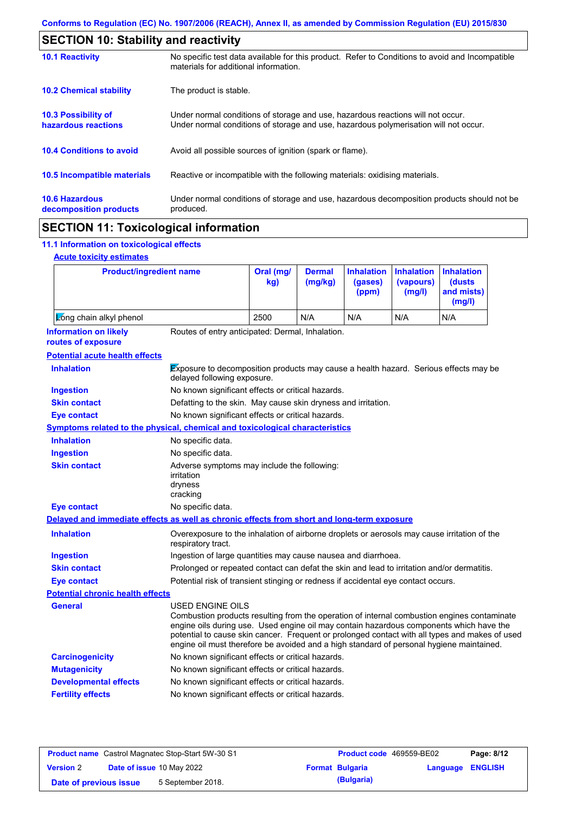| <b>SECTION 10: Stability and reactivity</b>     |                                                                                                                                                                         |
|-------------------------------------------------|-------------------------------------------------------------------------------------------------------------------------------------------------------------------------|
| <b>10.1 Reactivity</b>                          | No specific test data available for this product. Refer to Conditions to avoid and Incompatible<br>materials for additional information.                                |
| <b>10.2 Chemical stability</b>                  | The product is stable.                                                                                                                                                  |
| 10.3 Possibility of<br>hazardous reactions      | Under normal conditions of storage and use, hazardous reactions will not occur.<br>Under normal conditions of storage and use, hazardous polymerisation will not occur. |
| <b>10.4 Conditions to avoid</b>                 | Avoid all possible sources of ignition (spark or flame).                                                                                                                |
| <b>10.5 Incompatible materials</b>              | Reactive or incompatible with the following materials: oxidising materials.                                                                                             |
| <b>10.6 Hazardous</b><br>decomposition products | Under normal conditions of storage and use, hazardous decomposition products should not be<br>produced.                                                                 |

# **SECTION 11: Toxicological information**

# **11.1 Information on toxicological effects**

|  | <b>Acute toxicity estimates</b> |
|--|---------------------------------|
|  |                                 |

| <b>Product/ingredient name</b>                                                             |                                                                                                                                                                                                                                                                                                                                                                                                                 | Oral (mg/<br>kg) | <b>Dermal</b><br>(mg/kg) | <b>Inhalation</b><br>(gases)<br>(ppm) | <b>Inhalation</b><br>(vapours)<br>(mg/l) | <b>Inhalation</b><br>(dusts)<br>and mists)<br>(mg/l) |  |
|--------------------------------------------------------------------------------------------|-----------------------------------------------------------------------------------------------------------------------------------------------------------------------------------------------------------------------------------------------------------------------------------------------------------------------------------------------------------------------------------------------------------------|------------------|--------------------------|---------------------------------------|------------------------------------------|------------------------------------------------------|--|
| Zong chain alkyl phenol                                                                    |                                                                                                                                                                                                                                                                                                                                                                                                                 | 2500             | N/A                      | N/A                                   | N/A                                      | N/A                                                  |  |
| <b>Information on likely</b><br>routes of exposure                                         | Routes of entry anticipated: Dermal, Inhalation.                                                                                                                                                                                                                                                                                                                                                                |                  |                          |                                       |                                          |                                                      |  |
| <b>Potential acute health effects</b>                                                      |                                                                                                                                                                                                                                                                                                                                                                                                                 |                  |                          |                                       |                                          |                                                      |  |
| <b>Inhalation</b>                                                                          | Exposure to decomposition products may cause a health hazard. Serious effects may be<br>delayed following exposure.                                                                                                                                                                                                                                                                                             |                  |                          |                                       |                                          |                                                      |  |
| <b>Ingestion</b>                                                                           | No known significant effects or critical hazards.                                                                                                                                                                                                                                                                                                                                                               |                  |                          |                                       |                                          |                                                      |  |
| <b>Skin contact</b>                                                                        | Defatting to the skin. May cause skin dryness and irritation.                                                                                                                                                                                                                                                                                                                                                   |                  |                          |                                       |                                          |                                                      |  |
| <b>Eye contact</b>                                                                         | No known significant effects or critical hazards.                                                                                                                                                                                                                                                                                                                                                               |                  |                          |                                       |                                          |                                                      |  |
| <b>Symptoms related to the physical, chemical and toxicological characteristics</b>        |                                                                                                                                                                                                                                                                                                                                                                                                                 |                  |                          |                                       |                                          |                                                      |  |
| <b>Inhalation</b>                                                                          | No specific data.                                                                                                                                                                                                                                                                                                                                                                                               |                  |                          |                                       |                                          |                                                      |  |
| <b>Ingestion</b>                                                                           | No specific data.                                                                                                                                                                                                                                                                                                                                                                                               |                  |                          |                                       |                                          |                                                      |  |
| <b>Skin contact</b>                                                                        | Adverse symptoms may include the following:<br>irritation<br>dryness<br>cracking                                                                                                                                                                                                                                                                                                                                |                  |                          |                                       |                                          |                                                      |  |
| <b>Eye contact</b>                                                                         | No specific data.                                                                                                                                                                                                                                                                                                                                                                                               |                  |                          |                                       |                                          |                                                      |  |
| Delayed and immediate effects as well as chronic effects from short and long-term exposure |                                                                                                                                                                                                                                                                                                                                                                                                                 |                  |                          |                                       |                                          |                                                      |  |
| <b>Inhalation</b>                                                                          | Overexposure to the inhalation of airborne droplets or aerosols may cause irritation of the<br>respiratory tract.                                                                                                                                                                                                                                                                                               |                  |                          |                                       |                                          |                                                      |  |
| <b>Ingestion</b>                                                                           | Ingestion of large quantities may cause nausea and diarrhoea.                                                                                                                                                                                                                                                                                                                                                   |                  |                          |                                       |                                          |                                                      |  |
| <b>Skin contact</b>                                                                        | Prolonged or repeated contact can defat the skin and lead to irritation and/or dermatitis.                                                                                                                                                                                                                                                                                                                      |                  |                          |                                       |                                          |                                                      |  |
| <b>Eye contact</b>                                                                         | Potential risk of transient stinging or redness if accidental eye contact occurs.                                                                                                                                                                                                                                                                                                                               |                  |                          |                                       |                                          |                                                      |  |
| <b>Potential chronic health effects</b>                                                    |                                                                                                                                                                                                                                                                                                                                                                                                                 |                  |                          |                                       |                                          |                                                      |  |
| <b>General</b>                                                                             | <b>USED ENGINE OILS</b><br>Combustion products resulting from the operation of internal combustion engines contaminate<br>engine oils during use. Used engine oil may contain hazardous components which have the<br>potential to cause skin cancer. Frequent or prolonged contact with all types and makes of used<br>engine oil must therefore be avoided and a high standard of personal hygiene maintained. |                  |                          |                                       |                                          |                                                      |  |
| <b>Carcinogenicity</b>                                                                     | No known significant effects or critical hazards.                                                                                                                                                                                                                                                                                                                                                               |                  |                          |                                       |                                          |                                                      |  |
| <b>Mutagenicity</b>                                                                        | No known significant effects or critical hazards.                                                                                                                                                                                                                                                                                                                                                               |                  |                          |                                       |                                          |                                                      |  |
| <b>Developmental effects</b>                                                               | No known significant effects or critical hazards.                                                                                                                                                                                                                                                                                                                                                               |                  |                          |                                       |                                          |                                                      |  |
| <b>Fertility effects</b>                                                                   | No known significant effects or critical hazards.                                                                                                                                                                                                                                                                                                                                                               |                  |                          |                                       |                                          |                                                      |  |

| <b>Product name</b> Castrol Magnatec Stop-Start 5W-30 S1 |  |                                  | Product code 469559-BE02 |                        | Page: 8/12              |  |
|----------------------------------------------------------|--|----------------------------------|--------------------------|------------------------|-------------------------|--|
| <b>Version 2</b>                                         |  | <b>Date of issue 10 May 2022</b> |                          | <b>Format Bulgaria</b> | <b>Language ENGLISH</b> |  |
| Date of previous issue                                   |  | 5 September 2018.                |                          | (Bulgaria)             |                         |  |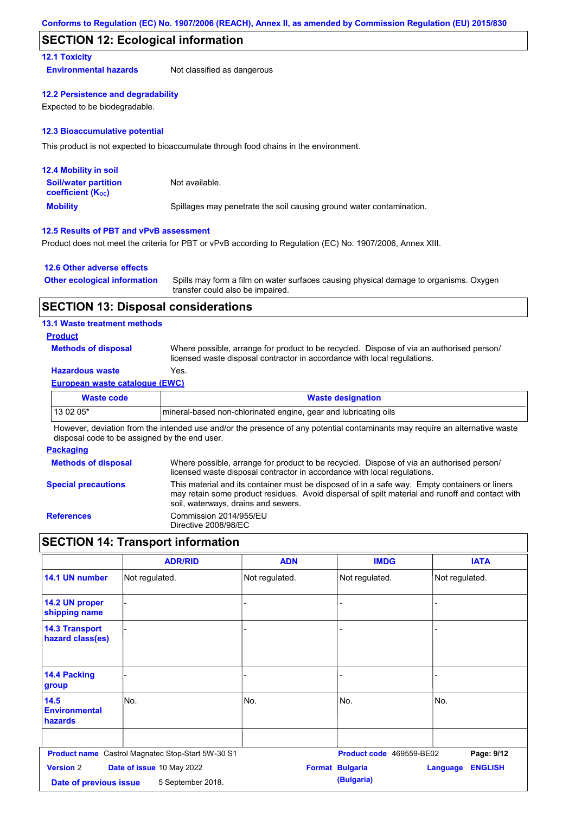## **SECTION 12: Ecological information**

## **12.1 Toxicity**

**Environmental hazards** Not classified as dangerous

#### **12.2 Persistence and degradability**

Expected to be biodegradable.

#### **12.3 Bioaccumulative potential**

This product is not expected to bioaccumulate through food chains in the environment.

| <b>12.4 Mobility in soil</b>                                  |                                                                      |
|---------------------------------------------------------------|----------------------------------------------------------------------|
| <b>Soil/water partition</b><br>coefficient (K <sub>oc</sub> ) | Not available.                                                       |
| <b>Mobility</b>                                               | Spillages may penetrate the soil causing ground water contamination. |

### **12.5 Results of PBT and vPvB assessment**

Product does not meet the criteria for PBT or vPvB according to Regulation (EC) No. 1907/2006, Annex XIII.

### **12.6 Other adverse effects**

| <b>Other ecological information</b> | Spills may form a film on water surfaces causing physical damage to organisms. Oxygen |
|-------------------------------------|---------------------------------------------------------------------------------------|
|                                     | transfer could also be impaired.                                                      |

## **SECTION 13: Disposal considerations**

### **13.1 Waste treatment methods**

### **Product**

**Methods of disposal**

Where possible, arrange for product to be recycled. Dispose of via an authorised person/ licensed waste disposal contractor in accordance with local regulations.

## **Hazardous waste** Yes.

#### **European waste catalogue (EWC)**

| Waste code | <b>Waste designation</b>                                        |
|------------|-----------------------------------------------------------------|
| 13 02 05*  | mineral-based non-chlorinated engine, gear and lubricating oils |

However, deviation from the intended use and/or the presence of any potential contaminants may require an alternative waste disposal code to be assigned by the end user.

#### **Packaging**

| <b>Methods of disposal</b> | Where possible, arrange for product to be recycled. Dispose of via an authorised person/<br>licensed waste disposal contractor in accordance with local regulations.                                                                    |
|----------------------------|-----------------------------------------------------------------------------------------------------------------------------------------------------------------------------------------------------------------------------------------|
| <b>Special precautions</b> | This material and its container must be disposed of in a safe way. Empty containers or liners<br>may retain some product residues. Avoid dispersal of spilt material and runoff and contact with<br>soil, waterways, drains and sewers. |
| <b>References</b>          | Commission 2014/955/EU<br>Directive 2008/98/EC                                                                                                                                                                                          |

# **SECTION 14: Transport information**

|                                            | <b>ADR/RID</b>                                           | <b>ADN</b>     | <b>IMDG</b>                          | <b>IATA</b>                |
|--------------------------------------------|----------------------------------------------------------|----------------|--------------------------------------|----------------------------|
| 14.1 UN number                             | Not regulated.                                           | Not regulated. | Not regulated.                       | Not regulated.             |
| 14.2 UN proper<br>shipping name            |                                                          | -              |                                      |                            |
| <b>14.3 Transport</b><br>hazard class(es)  |                                                          |                |                                      |                            |
| <b>14.4 Packing</b><br>group               |                                                          | -              |                                      |                            |
| 14.5<br><b>Environmental</b><br>hazards    | No.                                                      | No.            | No.                                  | No.                        |
|                                            | <b>Product name</b> Castrol Magnatec Stop-Start 5W-30 S1 |                | Product code 469559-BE02             | Page: 9/12                 |
| <b>Version 2</b><br>Date of previous issue | Date of issue 10 May 2022<br>5 September 2018.           |                | <b>Format Bulgaria</b><br>(Bulgaria) | <b>ENGLISH</b><br>Language |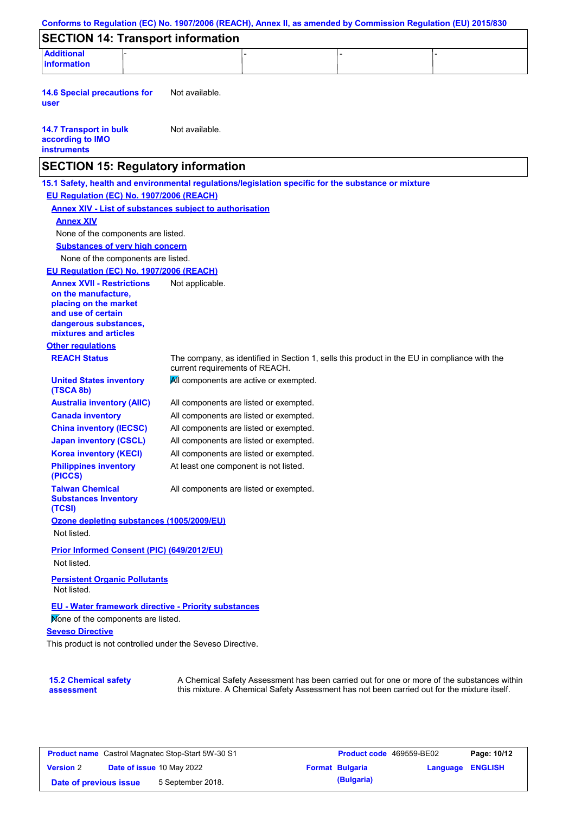| <b>SECTION 14: Transport information</b>                                                                                        |                                                                |                                                                                                     |  |
|---------------------------------------------------------------------------------------------------------------------------------|----------------------------------------------------------------|-----------------------------------------------------------------------------------------------------|--|
| <b>Additional</b>                                                                                                               |                                                                |                                                                                                     |  |
| information                                                                                                                     |                                                                |                                                                                                     |  |
| <b>14.6 Special precautions for</b><br>user                                                                                     | Not available.                                                 |                                                                                                     |  |
| <b>14.7 Transport in bulk</b><br>according to IMO<br><b>instruments</b>                                                         | Not available.                                                 |                                                                                                     |  |
|                                                                                                                                 | <b>SECTION 15: Regulatory information</b>                      |                                                                                                     |  |
|                                                                                                                                 |                                                                | 15.1 Safety, health and environmental regulations/legislation specific for the substance or mixture |  |
| EU Regulation (EC) No. 1907/2006 (REACH)                                                                                        |                                                                |                                                                                                     |  |
|                                                                                                                                 | <b>Annex XIV - List of substances subject to authorisation</b> |                                                                                                     |  |
| <b>Annex XIV</b>                                                                                                                |                                                                |                                                                                                     |  |
| None of the components are listed.                                                                                              |                                                                |                                                                                                     |  |
| <b>Substances of very high concern</b>                                                                                          |                                                                |                                                                                                     |  |
| None of the components are listed.                                                                                              |                                                                |                                                                                                     |  |
| EU Regulation (EC) No. 1907/2006 (REACH)                                                                                        |                                                                |                                                                                                     |  |
| <b>Annex XVII - Restrictions</b><br>on the manufacture,<br>placing on the market<br>and use of certain<br>dangerous substances, | Not applicable.                                                |                                                                                                     |  |
| mixtures and articles                                                                                                           |                                                                |                                                                                                     |  |
| <b>Other regulations</b>                                                                                                        |                                                                |                                                                                                     |  |
| <b>REACH Status</b>                                                                                                             | current requirements of REACH.                                 | The company, as identified in Section 1, sells this product in the EU in compliance with the        |  |
| <b>United States inventory</b><br>(TSCA 8b)                                                                                     |                                                                | All components are active or exempted.                                                              |  |
| <b>Australia inventory (AIIC)</b>                                                                                               |                                                                | All components are listed or exempted.                                                              |  |
| <b>Canada inventory</b>                                                                                                         |                                                                | All components are listed or exempted.                                                              |  |
| <b>China inventory (IECSC)</b>                                                                                                  |                                                                | All components are listed or exempted.                                                              |  |
| <b>Japan inventory (CSCL)</b>                                                                                                   |                                                                | All components are listed or exempted.                                                              |  |
| <b>Korea inventory (KECI)</b>                                                                                                   |                                                                | All components are listed or exempted.                                                              |  |
| <b>Philippines inventory</b><br>(PICCS)                                                                                         | At least one component is not listed.                          |                                                                                                     |  |
| <b>Taiwan Chemical</b><br><b>Substances Inventory</b><br>(TCSI)                                                                 |                                                                | All components are listed or exempted.                                                              |  |
| Ozone depleting substances (1005/2009/EU)                                                                                       |                                                                |                                                                                                     |  |
| Not listed.                                                                                                                     |                                                                |                                                                                                     |  |
| Prior Informed Consent (PIC) (649/2012/EU)                                                                                      |                                                                |                                                                                                     |  |
| Not listed.                                                                                                                     |                                                                |                                                                                                     |  |
| <b>Persistent Organic Pollutants</b><br>Not listed.                                                                             |                                                                |                                                                                                     |  |
|                                                                                                                                 | EU - Water framework directive - Priority substances           |                                                                                                     |  |
| Mone of the components are listed.                                                                                              |                                                                |                                                                                                     |  |
| <b>Seveso Directive</b>                                                                                                         |                                                                |                                                                                                     |  |
|                                                                                                                                 | This product is not controlled under the Seveso Directive.     |                                                                                                     |  |
|                                                                                                                                 |                                                                |                                                                                                     |  |
| <b>15.2 Chemical safety</b>                                                                                                     |                                                                | A Chemical Safety Assessment has been carried out for one or more of the substances within          |  |
| assessment                                                                                                                      |                                                                | this mixture. A Chemical Safety Assessment has not been carried out for the mixture itself.         |  |

| <b>Product name</b> Castrol Magnatec Stop-Start 5W-30 S1 |  |                                  | <b>Product code</b> 469559-BE02 |                        | Page: 10/12             |  |
|----------------------------------------------------------|--|----------------------------------|---------------------------------|------------------------|-------------------------|--|
| <b>Version 2</b>                                         |  | <b>Date of issue 10 May 2022</b> |                                 | <b>Format Bulgaria</b> | <b>Language ENGLISH</b> |  |
| Date of previous issue                                   |  | 5 September 2018.                |                                 | (Bulgaria)             |                         |  |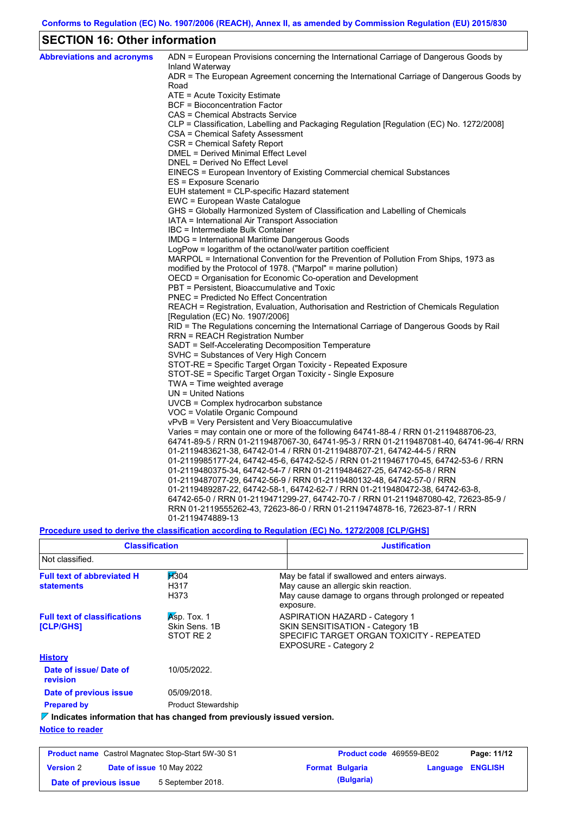# **SECTION 16: Other information**

| <b>Abbreviations and acronyms</b> | ADN = European Provisions concerning the International Carriage of Dangerous Goods by<br>Inland Waterway                                               |
|-----------------------------------|--------------------------------------------------------------------------------------------------------------------------------------------------------|
|                                   | ADR = The European Agreement concerning the International Carriage of Dangerous Goods by                                                               |
|                                   | Road                                                                                                                                                   |
|                                   | ATE = Acute Toxicity Estimate                                                                                                                          |
|                                   | BCF = Bioconcentration Factor                                                                                                                          |
|                                   | CAS = Chemical Abstracts Service                                                                                                                       |
|                                   | CLP = Classification, Labelling and Packaging Regulation [Regulation (EC) No. 1272/2008]                                                               |
|                                   | CSA = Chemical Safety Assessment                                                                                                                       |
|                                   | CSR = Chemical Safety Report                                                                                                                           |
|                                   | DMEL = Derived Minimal Effect Level                                                                                                                    |
|                                   | DNEL = Derived No Effect Level                                                                                                                         |
|                                   | EINECS = European Inventory of Existing Commercial chemical Substances                                                                                 |
|                                   | ES = Exposure Scenario                                                                                                                                 |
|                                   | EUH statement = CLP-specific Hazard statement                                                                                                          |
|                                   | EWC = European Waste Catalogue                                                                                                                         |
|                                   | GHS = Globally Harmonized System of Classification and Labelling of Chemicals                                                                          |
|                                   | IATA = International Air Transport Association                                                                                                         |
|                                   | IBC = Intermediate Bulk Container                                                                                                                      |
|                                   | IMDG = International Maritime Dangerous Goods                                                                                                          |
|                                   | LogPow = logarithm of the octanol/water partition coefficient<br>MARPOL = International Convention for the Prevention of Pollution From Ships, 1973 as |
|                                   | modified by the Protocol of 1978. ("Marpol" = marine pollution)                                                                                        |
|                                   | OECD = Organisation for Economic Co-operation and Development                                                                                          |
|                                   | PBT = Persistent, Bioaccumulative and Toxic                                                                                                            |
|                                   | <b>PNEC</b> = Predicted No Effect Concentration                                                                                                        |
|                                   | REACH = Registration, Evaluation, Authorisation and Restriction of Chemicals Regulation                                                                |
|                                   | [Regulation (EC) No. 1907/2006]                                                                                                                        |
|                                   | RID = The Regulations concerning the International Carriage of Dangerous Goods by Rail                                                                 |
|                                   | RRN = REACH Registration Number                                                                                                                        |
|                                   | SADT = Self-Accelerating Decomposition Temperature                                                                                                     |
|                                   | SVHC = Substances of Very High Concern                                                                                                                 |
|                                   | STOT-RE = Specific Target Organ Toxicity - Repeated Exposure                                                                                           |
|                                   | STOT-SE = Specific Target Organ Toxicity - Single Exposure                                                                                             |
|                                   | $TWA = Time weighted average$                                                                                                                          |
|                                   | $UN = United Nations$                                                                                                                                  |
|                                   | UVCB = Complex hydrocarbon substance                                                                                                                   |
|                                   | VOC = Volatile Organic Compound                                                                                                                        |
|                                   | vPvB = Very Persistent and Very Bioaccumulative                                                                                                        |
|                                   | Varies = may contain one or more of the following 64741-88-4 / RRN 01-2119488706-23,                                                                   |
|                                   | 64741-89-5 / RRN 01-2119487067-30, 64741-95-3 / RRN 01-2119487081-40, 64741-96-4/ RRN                                                                  |
|                                   | 01-2119483621-38, 64742-01-4 / RRN 01-2119488707-21, 64742-44-5 / RRN                                                                                  |
|                                   | 01-2119985177-24, 64742-45-6, 64742-52-5 / RRN 01-2119467170-45, 64742-53-6 / RRN                                                                      |
|                                   | 01-2119480375-34, 64742-54-7 / RRN 01-2119484627-25, 64742-55-8 / RRN                                                                                  |
|                                   | 01-2119487077-29, 64742-56-9 / RRN 01-2119480132-48, 64742-57-0 / RRN                                                                                  |
|                                   | 01-2119489287-22, 64742-58-1, 64742-62-7 / RRN 01-2119480472-38, 64742-63-8,                                                                           |
|                                   | 64742-65-0 / RRN 01-2119471299-27, 64742-70-7 / RRN 01-2119487080-42, 72623-85-9 /                                                                     |
|                                   | RRN 01-2119555262-43, 72623-86-0 / RRN 01-2119474878-16, 72623-87-1 / RRN                                                                              |
|                                   | 01-2119474889-13                                                                                                                                       |

**Procedure used to derive the classification according to Regulation (EC) No. 1272/2008 [CLP/GHS]**

| <b>Classification</b>                                                           |                                           | <b>Justification</b>                                                                                                                                           |
|---------------------------------------------------------------------------------|-------------------------------------------|----------------------------------------------------------------------------------------------------------------------------------------------------------------|
| Not classified.                                                                 |                                           |                                                                                                                                                                |
| <b>Full text of abbreviated H</b><br><b>statements</b>                          | H304<br>H317<br>H373                      | May be fatal if swallowed and enters airways.<br>May cause an allergic skin reaction.<br>May cause damage to organs through prolonged or repeated<br>exposure. |
| <b>Full text of classifications</b><br>[CLP/GHS]                                | Asp. Tox. 1<br>Skin Sens, 1B<br>STOT RE 2 | <b>ASPIRATION HAZARD - Category 1</b><br>SKIN SENSITISATION - Category 1B<br>SPECIFIC TARGET ORGAN TOXICITY - REPEATED<br><b>EXPOSURE - Category 2</b>         |
| <b>History</b>                                                                  |                                           |                                                                                                                                                                |
| Date of issue/Date of<br>revision                                               | 10/05/2022.                               |                                                                                                                                                                |
| Date of previous issue                                                          | 05/09/2018.                               |                                                                                                                                                                |
| <b>Prepared by</b>                                                              | <b>Product Stewardship</b>                |                                                                                                                                                                |
| $\nabla$ Indicates information that has changed from previously issued version. |                                           |                                                                                                                                                                |
| <b>Notice to reader</b>                                                         |                                           |                                                                                                                                                                |

| <b>Product name</b> Castrol Magnatec Stop-Start 5W-30 S1 |  | Product code 469559-BE02         |  | Page: 11/12            |                         |  |
|----------------------------------------------------------|--|----------------------------------|--|------------------------|-------------------------|--|
| <b>Version 2</b>                                         |  | <b>Date of issue 10 May 2022</b> |  | <b>Format Bulgaria</b> | <b>Language ENGLISH</b> |  |
| Date of previous issue                                   |  | 5 September 2018.                |  | (Bulgaria)             |                         |  |